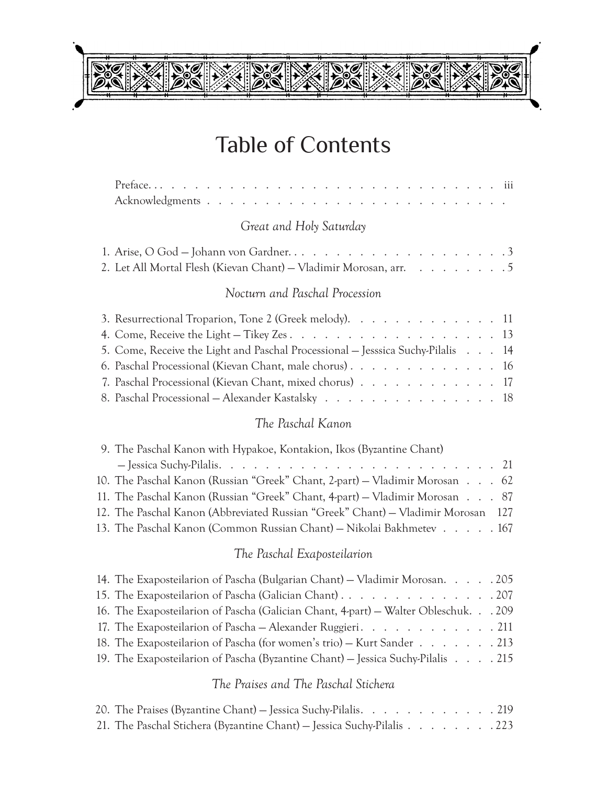# Table of Contents

 $\mathcal{O}^\star_\alpha$ 

 $\mathcal{D}_{\mathbf{o}}^{\star}$ 

# *Great and Holy Saturday*

| 2. Let All Mortal Flesh (Kievan Chant) – Vladimir Morosan, arr. 5 |  |  |  |  |
|-------------------------------------------------------------------|--|--|--|--|

## *Nocturn and Paschal Procession*

| 3. Resurrectional Troparion, Tone 2 (Greek melody). 11                          |  |  |
|---------------------------------------------------------------------------------|--|--|
|                                                                                 |  |  |
| 5. Come, Receive the Light and Paschal Processional – Jesssica Suchy-Pilalis 14 |  |  |
|                                                                                 |  |  |
| 7. Paschal Processional (Kievan Chant, mixed chorus) 17                         |  |  |
| 8. Paschal Processional – Alexander Kastalsky 18                                |  |  |

## *The Paschal Kanon*

| 9. The Paschal Kanon with Hypakoe, Kontakion, Ikos (Byzantine Chant)             |
|----------------------------------------------------------------------------------|
|                                                                                  |
| 10. The Paschal Kanon (Russian "Greek" Chant, 2-part) – Vladimir Morosan 62      |
| 11. The Paschal Kanon (Russian "Greek" Chant, 4-part) – Vladimir Morosan 87      |
| 12. The Paschal Kanon (Abbreviated Russian "Greek" Chant) – Vladimir Morosan 127 |
| 13. The Paschal Kanon (Common Russian Chant) – Nikolai Bakhmetev 167             |

# *The Paschal Exaposteilarion*

| 14. The Exaposteilarion of Pascha (Bulgarian Chant) – Vladimir Morosan. 205        |  |
|------------------------------------------------------------------------------------|--|
|                                                                                    |  |
| 16. The Exaposteilarion of Pascha (Galician Chant, 4-part) – Walter Obleschuk. 209 |  |
| 17. The Exaposteilarion of Pascha – Alexander Ruggieri. 211                        |  |
| 18. The Exaposteilarion of Pascha (for women's trio) - Kurt Sander 213             |  |
| 19. The Exaposteilarion of Pascha (Byzantine Chant) – Jessica Suchy-Pilalis 215    |  |

#### *The Praises and The Paschal Stichera*

| 20. The Praises (Byzantine Chant) – Jessica Suchy-Pilalis. 219         |  |  |  |  |
|------------------------------------------------------------------------|--|--|--|--|
| 21. The Paschal Stichera (Byzantine Chant) – Jessica Suchy-Pilalis 223 |  |  |  |  |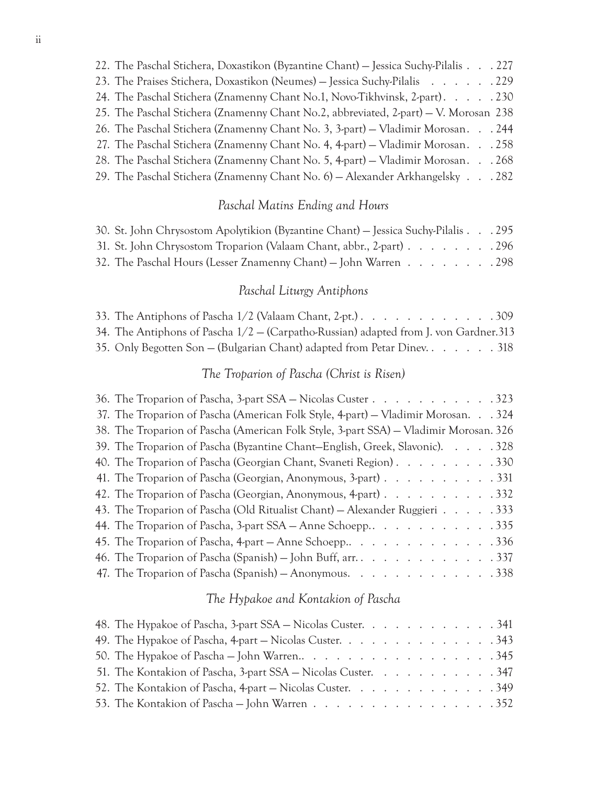| 22. The Paschal Stichera, Doxastikon (Byzantine Chant) – Jessica Suchy-Pilalis 227   |
|--------------------------------------------------------------------------------------|
| 23. The Praises Stichera, Doxastikon (Neumes) – Jessica Suchy-Pilalis 229            |
| 24. The Paschal Stichera (Znamenny Chant No.1, Novo-Tikhvinsk, 2-part). 230          |
| 25. The Paschal Stichera (Znamenny Chant No.2, abbreviated, 2-part) – V. Morosan 238 |
| 26. The Paschal Stichera (Znamenny Chant No. 3, 3-part) – Vladimir Morosan. 244      |
| 27. The Paschal Stichera (Znamenny Chant No. 4, 4-part) – Vladimir Morosan. 258      |
| 28. The Paschal Stichera (Znamenny Chant No. 5, 4-part) – Vladimir Morosan. 268      |
|                                                                                      |

29. The Paschal Stichera (Znamenny Chant No. 6) — Alexander Arkhangelsky . . 282

#### *Paschal Matins Ending and Hours*

| 30. St. John Chrysostom Apolytikion (Byzantine Chant) – Jessica Suchy-Pilalis 295 |  |
|-----------------------------------------------------------------------------------|--|
| 31. St. John Chrysostom Troparion (Valaam Chant, abbr., 2-part) 296               |  |
| 32. The Paschal Hours (Lesser Znamenny Chant) – John Warren 298                   |  |

#### *Paschal Liturgy Antiphons*

| 33. The Antiphons of Pascha $1/2$ (Valaam Chant, 2-pt.). 309                            |  |
|-----------------------------------------------------------------------------------------|--|
| 34. The Antiphons of Pascha $1/2$ - (Carpatho-Russian) adapted from J. von Gardner. 313 |  |
| 35. Only Begotten Son – (Bulgarian Chant) adapted from Petar Diney 318                  |  |

#### *The Troparion of Pascha (Christ is Risen)*

| 36. The Troparion of Pascha, 3-part SSA – Nicolas Custer 323                          |  |
|---------------------------------------------------------------------------------------|--|
| 37. The Troparion of Pascha (American Folk Style, 4-part) – Vladimir Morosan. 324     |  |
| 38. The Troparion of Pascha (American Folk Style, 3-part SSA) - Vladimir Morosan. 326 |  |
| 39. The Troparion of Pascha (Byzantine Chant-English, Greek, Slavonic). 328           |  |
| 40. The Troparion of Pascha (Georgian Chant, Svaneti Region). 330                     |  |
| 41. The Troparion of Pascha (Georgian, Anonymous, 3-part) 331                         |  |
| 42. The Troparion of Pascha (Georgian, Anonymous, 4-part) 332                         |  |
| 43. The Troparion of Pascha (Old Ritualist Chant) – Alexander Ruggieri 333            |  |
|                                                                                       |  |
|                                                                                       |  |
|                                                                                       |  |
| 47. The Troparion of Pascha (Spanish) - Anonymous. 338                                |  |

#### *The Hypakoe and Kontakion of Pascha*

| 48. The Hypakoe of Pascha, 3-part SSA – Nicolas Custer. 341   |  |  |  |  |  |
|---------------------------------------------------------------|--|--|--|--|--|
| 49. The Hypakoe of Pascha, 4-part – Nicolas Custer. 343       |  |  |  |  |  |
|                                                               |  |  |  |  |  |
| 51. The Kontakion of Pascha, 3-part SSA – Nicolas Custer. 347 |  |  |  |  |  |
| 52. The Kontakion of Pascha, 4-part – Nicolas Custer. 349     |  |  |  |  |  |
| 53. The Kontakion of Pascha – John Warren 352                 |  |  |  |  |  |